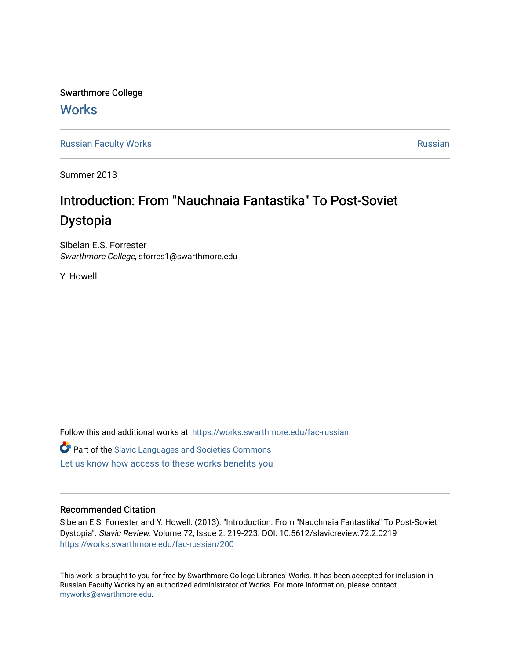Swarthmore College **Works** 

[Russian Faculty Works](https://works.swarthmore.edu/fac-russian) **Russian** [Russian](https://works.swarthmore.edu/russian) Russian Russian

Summer 2013

# Introduction: From "Nauchnaia Fantastika" To Post-Soviet Dystopia

Sibelan E.S. Forrester Swarthmore College, sforres1@swarthmore.edu

Y. Howell

Follow this and additional works at: [https://works.swarthmore.edu/fac-russian](https://works.swarthmore.edu/fac-russian?utm_source=works.swarthmore.edu%2Ffac-russian%2F200&utm_medium=PDF&utm_campaign=PDFCoverPages) 

**C** Part of the Slavic Languages and Societies Commons

[Let us know how access to these works benefits you](https://forms.gle/4MB8mE2GywC5965J8) 

### Recommended Citation

Sibelan E.S. Forrester and Y. Howell. (2013). "Introduction: From "Nauchnaia Fantastika" To Post-Soviet Dystopia". Slavic Review. Volume 72, Issue 2. 219-223. DOI: 10.5612/slavicreview.72.2.0219 <https://works.swarthmore.edu/fac-russian/200>

This work is brought to you for free by Swarthmore College Libraries' Works. It has been accepted for inclusion in Russian Faculty Works by an authorized administrator of Works. For more information, please contact [myworks@swarthmore.edu.](mailto:myworks@swarthmore.edu)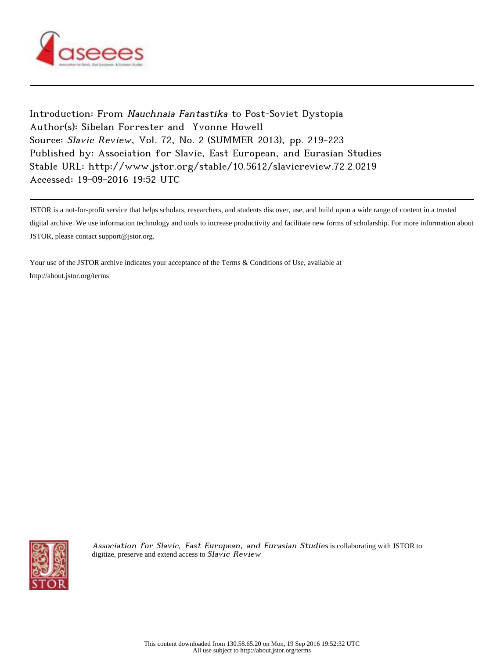

Introduction: From Nauchnaia Fantastika to Post-Soviet Dystopia Author(s): Sibelan Forrester and Yvonne Howell Source: Slavic Review, Vol. 72, No. 2 (SUMMER 2013), pp. 219-223 Published by: Association for Slavic, East European, and Eurasian Studies Stable URL: http://www.jstor.org/stable/10.5612/slavicreview.72.2.0219 Accessed: 19-09-2016 19:52 UTC

JSTOR is a not-for-profit service that helps scholars, researchers, and students discover, use, and build upon a wide range of content in a trusted digital archive. We use information technology and tools to increase productivity and facilitate new forms of scholarship. For more information about JSTOR, please contact support@jstor.org.

Your use of the JSTOR archive indicates your acceptance of the Terms & Conditions of Use, available at http://about.jstor.org/terms



Association for Slavic, East European, and Eurasian Studies is collaborating with JSTOR to digitize, preserve and extend access to Slavic Review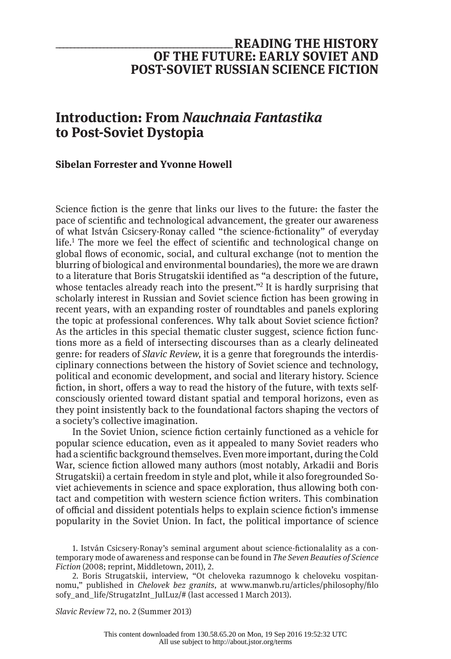## **\_\_\_\_\_\_\_\_\_\_\_\_\_\_\_\_\_\_\_\_\_\_\_\_\_\_\_\_\_\_\_\_\_\_\_\_\_\_\_\_\_\_\_\_\_\_\_\_READING THE HISTORY OF THE FUTURE: EARLY SOVIET AND POST-SOVIET RUSSIAN SCIENCE FICTION**

## **Introduction: From** *Nauchnaia Fantastika* **to Post-Soviet Dystopia**

#### **Sibelan Forrester and Yvonne Howell**

Science fiction is the genre that links our lives to the future: the faster the pace of scientific and technological advancement, the greater our awareness of what István Csicsery-Ronay called "the science-fictionality" of everyday life.<sup>1</sup> The more we feel the effect of scientific and technological change on global flows of economic, social, and cultural exchange (not to mention the blurring of biological and environmental boundaries), the more we are drawn to a literature that Boris Strugatskii identified as "a description of the future, whose tentacles already reach into the present."<sup>2</sup> It is hardly surprising that scholarly interest in Russian and Soviet science fiction has been growing in recent years, with an expanding roster of roundtables and panels exploring the topic at professional conferences. Why talk about Soviet science fiction? As the articles in this special thematic cluster suggest, science fiction functions more as a field of intersecting discourses than as a clearly delineated genre: for readers of *Slavic Review,* it is a genre that foregrounds the interdisciplinary connections between the history of Soviet science and technology, political and economic development, and social and literary history. Science fiction, in short, offers a way to read the history of the future, with texts selfconsciously oriented toward distant spatial and temporal horizons, even as they point insistently back to the foundational factors shaping the vectors of a society's collective imagination.

In the Soviet Union, science fiction certainly functioned as a vehicle for popular science education, even as it appealed to many Soviet readers who had a scientific background themselves. Even more important, during the Cold War, science fiction allowed many authors (most notably, Arkadii and Boris Strugatskii) a certain freedom in style and plot, while it also foregrounded Soviet achievements in science and space exploration, thus allowing both contact and competition with western science fiction writers. This combination of official and dissident potentials helps to explain science fiction's immense popularity in the Soviet Union. In fact, the political importance of science

*Slavic Review* 72, no. 2 (Summer 2013)

<sup>1.</sup> István Csicsery-Ronay's seminal argument about science-fictionalality as a contemporary mode of awareness and response can be found in *The Seven Beauties of Science Fiction* (2008; reprint, Middletown, 2011), 2.

<sup>2.</sup> Boris Strugatskii, interview, "Ot cheloveka razumnogo k cheloveku vospitannomu," published in *Chelovek bez granits*, at www.manwb.ru/articles/philosophy/filo sofy and life/StrugatzInt JulLuz/# (last accessed 1 March 2013).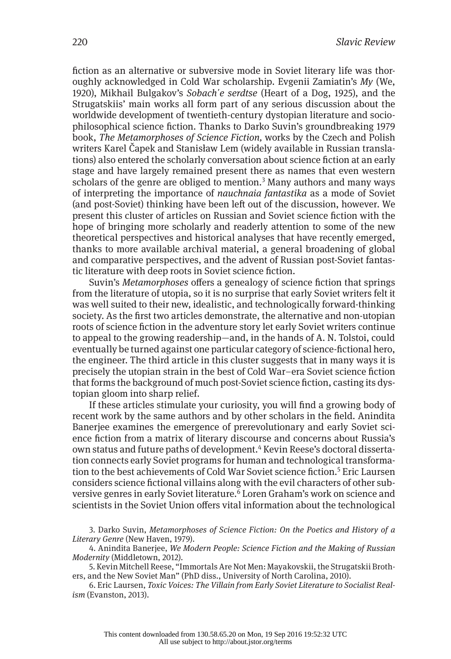fiction as an alternative or subversive mode in Soviet literary life was thoroughly acknowledged in Cold War scholarship. Evgenii Zamiatin's *My* (We, 1920), Mikhail Bulgakov's *Sobach΄e serdtse* (Heart of a Dog, 1925), and the Strugatskiis' main works all form part of any serious discussion about the worldwide development of twentieth-century dystopian literature and sociophilosophical science fiction. Thanks to Darko Suvin's groundbreaking 1979 book, *The Metamorphoses of Science Fiction,* works by the Czech and Polish writers Karel Čapek and Stanisław Lem (widely available in Russian translations) also entered the scholarly conversation about science fiction at an early stage and have largely remained present there as names that even western scholars of the genre are obliged to mention.<sup>3</sup> Many authors and many ways of interpreting the importance of *nauchnaia fantastika* as a mode of Soviet (and post-Soviet) thinking have been left out of the discussion, however. We present this cluster of articles on Russian and Soviet science fiction with the hope of bringing more scholarly and readerly attention to some of the new theoretical perspectives and historical analyses that have recently emerged, thanks to more available archival material, a general broadening of global and comparative perspectives, and the advent of Russian post-Soviet fantastic literature with deep roots in Soviet science fiction.

Suvin's *Metamorphoses* offers a genealogy of science fiction that springs from the literature of utopia, so it is no surprise that early Soviet writers felt it was well suited to their new, idealistic, and technologically forward-thinking society. As the first two articles demonstrate, the alternative and non-utopian roots of science fiction in the adventure story let early Soviet writers continue to appeal to the growing readership—and, in the hands of A. N. Tolstoi, could eventually be turned against one particular category of science-fictional hero, the engineer. The third article in this cluster suggests that in many ways it is precisely the utopian strain in the best of Cold War–era Soviet science fiction that forms the background of much post-Soviet science fiction, casting its dystopian gloom into sharp relief.

If these articles stimulate your curiosity, you will find a growing body of recent work by the same authors and by other scholars in the field. Anindita Banerjee examines the emergence of prerevolutionary and early Soviet science fiction from a matrix of literary discourse and concerns about Russia's own status and future paths of development.<sup>4</sup> Kevin Reese's doctoral dissertation connects early Soviet programs for human and technological transformation to the best achievements of Cold War Soviet science fiction.<sup>5</sup> Eric Laursen considers science fictional villains along with the evil characters of other subversive genres in early Soviet literature.<sup>6</sup> Loren Graham's work on science and scientists in the Soviet Union offers vital information about the technological

3. Darko Suvin, *Metamorphoses of Science Fiction: On the Poetics and History of a Literary Genre* (New Haven, 1979).

4. Anindita Banerjee, *We Modern People: Science Fiction and the Making of Russian Modernity* (Middletown, 2012).

5. Kevin Mitchell Reese, "Immortals Are Not Men: Mayakovskii, the Strugatskii Brothers, and the New Soviet Man" (PhD diss., University of North Carolina, 2010).

6. Eric Laursen, *Toxic Voices: The Villain from Early Soviet Literature to Socialist Realism* (Evanston, 2013).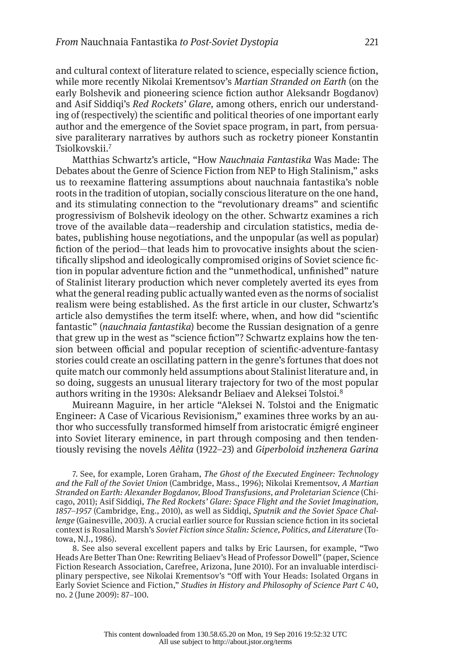and cultural context of literature related to science, especially science fiction, while more recently Nikolai Krementsov's *Martian Stranded on Earth* (on the early Bolshevik and pioneering science fiction author Aleksandr Bogdanov) and Asif Siddiqi's *Red Rockets' Glare,* among others, enrich our understanding of (respectively) the scientific and political theories of one important early author and the emergence of the Soviet space program, in part, from persuasive paraliterary narratives by authors such as rocketry pioneer Konstantin Tsiolkovskii.7

Matthias Schwartz's article, "How *Nauchnaia Fantastika* Was Made: The Debates about the Genre of Science Fiction from NEP to High Stalinism," asks us to reexamine flattering assumptions about nauchnaia fantastika's noble roots in the tradition of utopian, socially conscious literature on the one hand, and its stimulating connection to the "revolutionary dreams" and scientific progressivism of Bolshevik ideology on the other. Schwartz examines a rich trove of the available data—readership and circulation statistics, media debates, publishing house negotiations, and the unpopular (as well as popular) fiction of the period—that leads him to provocative insights about the scientifically slipshod and ideologically compromised origins of Soviet science fiction in popular adventure fiction and the "unmethodical, unfinished" nature of Stalinist literary production which never completely averted its eyes from what the general reading public actually wanted even as the norms of socialist realism were being established. As the first article in our cluster, Schwartz's article also demystifies the term itself: where, when, and how did "scientific fantastic" (*nauchnaia fantastika*) become the Russian designation of a genre that grew up in the west as "science fiction"? Schwartz explains how the tension between official and popular reception of scientific-adventure-fantasy stories could create an oscillating pattern in the genre's fortunes that does not quite match our commonly held assumptions about Stalinist literature and, in so doing, suggests an unusual literary trajectory for two of the most popular authors writing in the 1930s: Aleksandr Beliaev and Aleksei Tolstoi.8

Muireann Maguire, in her article "Aleksei N. Tolstoi and the Enigmatic Engineer: A Case of Vicarious Revisionism," examines three works by an author who successfully transformed himself from aristocratic émigré engineer into Soviet literary eminence, in part through composing and then tendentiously revising the novels *Aèlita* (1922–23) and *Giperboloid inzhenera Garina* 

7. See, for example, Loren Graham, *The Ghost of the Executed Engineer: Technology and the Fall of the Soviet Union* (Cambridge, Mass., 1996); Nikolai Krementsov, *A Martian Stranded on Earth: Alexander Bogdanov, Blood Transfusions, and Proletarian Science* (Chicago, 2011); Asif Siddiqi, *The Red Rockets' Glare: Space Flight and the Soviet Imagination, 1857–1957* (Cambridge, Eng., 2010), as well as Siddiqi, *Sputnik and the Soviet Space Challenge* (Gainesville, 2003). A crucial earlier source for Russian science fiction in its societal context is Rosalind Marsh's *Soviet Fiction since Stalin: Science, Politics, and Literature* (Totowa, N.J., 1986).

8. See also several excellent papers and talks by Eric Laursen, for example, "Two Heads Are Better Than One: Rewriting Beliaev's Head of Professor Dowell" (paper, Science Fiction Research Association, Carefree, Arizona, June 2010). For an invaluable interdisciplinary perspective, see Nikolai Krementsov's "Off with Your Heads: Isolated Organs in Early Soviet Science and Fiction," *Studies in History and Philosophy of Science Part C* 40, no. 2 (June 2009): 87–100.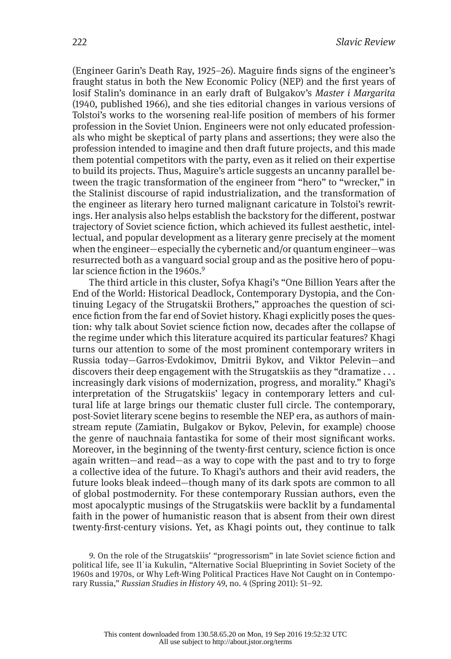(Engineer Garin's Death Ray, 1925–26). Maguire finds signs of the engineer's fraught status in both the New Economic Policy (NEP) and the first years of Iosif Stalin's dominance in an early draft of Bulgakov's *Master i Margarita* (1940, published 1966), and she ties editorial changes in various versions of Tolstoi's works to the worsening real-life position of members of his former profession in the Soviet Union. Engineers were not only educated professionals who might be skeptical of party plans and assertions; they were also the profession intended to imagine and then draft future projects, and this made them potential competitors with the party, even as it relied on their expertise to build its projects. Thus, Maguire's article suggests an uncanny parallel between the tragic transformation of the engineer from "hero" to "wrecker," in the Stalinist discourse of rapid industrialization, and the transformation of the engineer as literary hero turned malignant caricature in Tolstoi's rewritings. Her analysis also helps establish the backstory for the different, postwar trajectory of Soviet science fiction, which achieved its fullest aesthetic, intellectual, and popular development as a literary genre precisely at the moment when the engineer—especially the cybernetic and/or quantum engineer—was resurrected both as a vanguard social group and as the positive hero of popular science fiction in the  $1960s.<sup>9</sup>$ 

The third article in this cluster, Sofya Khagi's "One Billion Years after the End of the World: Historical Deadlock, Contemporary Dystopia, and the Continuing Legacy of the Strugatskii Brothers," approaches the question of science fiction from the far end of Soviet history. Khagi explicitly poses the question: why talk about Soviet science fiction now, decades after the collapse of the regime under which this literature acquired its particular features? Khagi turns our attention to some of the most prominent contemporary writers in Russia today—Garros-Evdokimov, Dmitrii Bykov, and Viktor Pelevin—and discovers their deep engagement with the Strugatskiis as they "dramatize . . . increasingly dark visions of modernization, progress, and morality." Khagi's interpretation of the Strugatskiis' legacy in contemporary letters and cultural life at large brings our thematic cluster full circle. The contemporary, post-Soviet literary scene begins to resemble the NEP era, as authors of mainstream repute (Zamiatin, Bulgakov or Bykov, Pelevin, for example) choose the genre of nauchnaia fantastika for some of their most significant works. Moreover, in the beginning of the twenty-first century, science fiction is once again written—and read—as a way to cope with the past and to try to forge a collective idea of the future. To Khagi's authors and their avid readers, the future looks bleak indeed—though many of its dark spots are common to all of global postmodernity. For these contemporary Russian authors, even the most apocalyptic musings of the Strugatskiis were backlit by a fundamental faith in the power of humanistic reason that is absent from their own direst twenty-first-century visions. Yet, as Khagi points out, they continue to talk

9. On the role of the Strugatskiis' "progressorism" in late Soviet science fiction and political life, see Il΄ia Kukulin, "Alternative Social Blueprinting in Soviet Society of the 1960s and 1970s, or Why Left-Wing Political Practices Have Not Caught on in Contemporary Russia," *Russian Studies in History* 49, no. 4 (Spring 2011): 51–92.